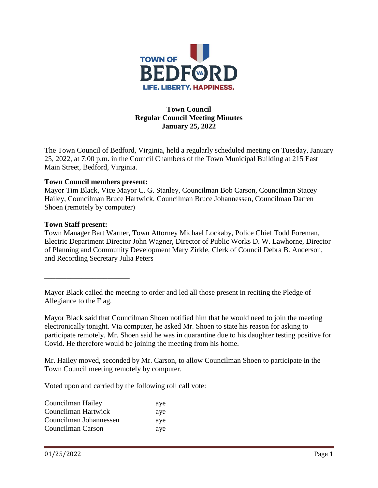

## **Town Council Regular Council Meeting Minutes January 25, 2022**

The Town Council of Bedford, Virginia, held a regularly scheduled meeting on Tuesday, January 25, 2022, at 7:00 p.m. in the Council Chambers of the Town Municipal Building at 215 East Main Street, Bedford, Virginia.

### **Town Council members present:**

Mayor Tim Black, Vice Mayor C. G. Stanley, Councilman Bob Carson, Councilman Stacey Hailey, Councilman Bruce Hartwick, Councilman Bruce Johannessen, Councilman Darren Shoen (remotely by computer)

#### **Town Staff present:**

**\_\_\_\_\_\_\_\_\_\_\_\_\_\_\_\_\_\_\_\_\_\_\_**

Town Manager Bart Warner, Town Attorney Michael Lockaby, Police Chief Todd Foreman, Electric Department Director John Wagner, Director of Public Works D. W. Lawhorne, Director of Planning and Community Development Mary Zirkle, Clerk of Council Debra B. Anderson, and Recording Secretary Julia Peters

Mayor Black called the meeting to order and led all those present in reciting the Pledge of Allegiance to the Flag.

Mayor Black said that Councilman Shoen notified him that he would need to join the meeting electronically tonight. Via computer, he asked Mr. Shoen to state his reason for asking to participate remotely. Mr. Shoen said he was in quarantine due to his daughter testing positive for Covid. He therefore would be joining the meeting from his home.

Mr. Hailey moved, seconded by Mr. Carson, to allow Councilman Shoen to participate in the Town Council meeting remotely by computer.

Voted upon and carried by the following roll call vote:

| Councilman Hailey      | aye |
|------------------------|-----|
| Councilman Hartwick    | aye |
| Councilman Johannessen | aye |
| Councilman Carson      | aye |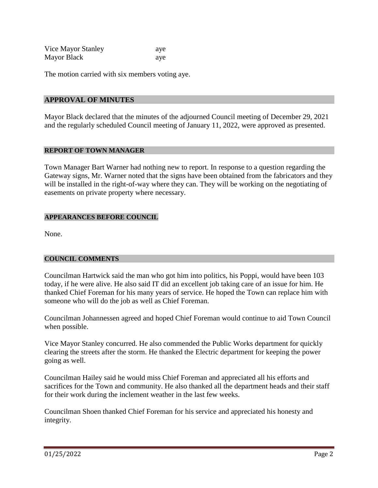| Vice Mayor Stanley | aye |
|--------------------|-----|
| <b>Mayor Black</b> | aye |

The motion carried with six members voting aye.

#### **APPROVAL OF MINUTES**

Mayor Black declared that the minutes of the adjourned Council meeting of December 29, 2021 and the regularly scheduled Council meeting of January 11, 2022, were approved as presented.

#### **REPORT OF TOWN MANAGER**

Town Manager Bart Warner had nothing new to report. In response to a question regarding the Gateway signs, Mr. Warner noted that the signs have been obtained from the fabricators and they will be installed in the right-of-way where they can. They will be working on the negotiating of easements on private property where necessary.

#### **APPEARANCES BEFORE COUNCIL**

None.

#### **COUNCIL COMMENTS**

Councilman Hartwick said the man who got him into politics, his Poppi, would have been 103 today, if he were alive. He also said IT did an excellent job taking care of an issue for him. He thanked Chief Foreman for his many years of service. He hoped the Town can replace him with someone who will do the job as well as Chief Foreman.

Councilman Johannessen agreed and hoped Chief Foreman would continue to aid Town Council when possible.

Vice Mayor Stanley concurred. He also commended the Public Works department for quickly clearing the streets after the storm. He thanked the Electric department for keeping the power going as well.

Councilman Hailey said he would miss Chief Foreman and appreciated all his efforts and sacrifices for the Town and community. He also thanked all the department heads and their staff for their work during the inclement weather in the last few weeks.

Councilman Shoen thanked Chief Foreman for his service and appreciated his honesty and integrity.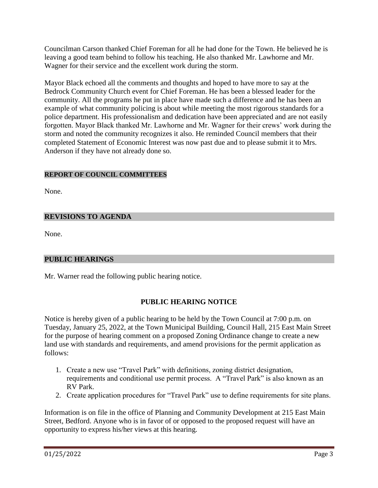Councilman Carson thanked Chief Foreman for all he had done for the Town. He believed he is leaving a good team behind to follow his teaching. He also thanked Mr. Lawhorne and Mr. Wagner for their service and the excellent work during the storm.

Mayor Black echoed all the comments and thoughts and hoped to have more to say at the Bedrock Community Church event for Chief Foreman. He has been a blessed leader for the community. All the programs he put in place have made such a difference and he has been an example of what community policing is about while meeting the most rigorous standards for a police department. His professionalism and dedication have been appreciated and are not easily forgotten. Mayor Black thanked Mr. Lawhorne and Mr. Wagner for their crews' work during the storm and noted the community recognizes it also. He reminded Council members that their completed Statement of Economic Interest was now past due and to please submit it to Mrs. Anderson if they have not already done so.

## **REPORT OF COUNCIL COMMITTEES**

None.

## **REVISIONS TO AGENDA**

None.

### **PUBLIC HEARINGS**

Mr. Warner read the following public hearing notice.

### **PUBLIC HEARING NOTICE**

Notice is hereby given of a public hearing to be held by the Town Council at 7:00 p.m. on Tuesday, January 25, 2022, at the Town Municipal Building, Council Hall, 215 East Main Street for the purpose of hearing comment on a proposed Zoning Ordinance change to create a new land use with standards and requirements, and amend provisions for the permit application as follows:

- 1. Create a new use "Travel Park" with definitions, zoning district designation, requirements and conditional use permit process. A "Travel Park" is also known as an RV Park.
- 2. Create application procedures for "Travel Park" use to define requirements for site plans.

Information is on file in the office of Planning and Community Development at 215 East Main Street, Bedford. Anyone who is in favor of or opposed to the proposed request will have an opportunity to express his/her views at this hearing.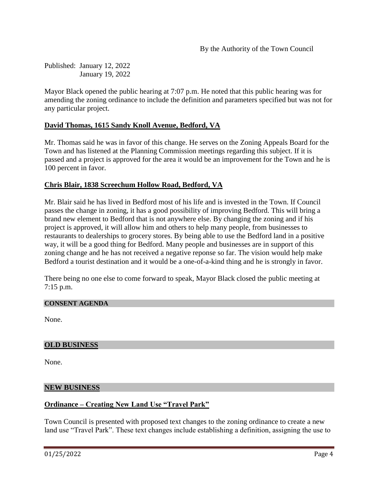Published: January 12, 2022 January 19, 2022

Mayor Black opened the public hearing at 7:07 p.m. He noted that this public hearing was for amending the zoning ordinance to include the definition and parameters specified but was not for any particular project.

## **David Thomas, 1615 Sandy Knoll Avenue, Bedford, VA**

Mr. Thomas said he was in favor of this change. He serves on the Zoning Appeals Board for the Town and has listened at the Planning Commission meetings regarding this subject. If it is passed and a project is approved for the area it would be an improvement for the Town and he is 100 percent in favor.

## **Chris Blair, 1838 Screechum Hollow Road, Bedford, VA**

Mr. Blair said he has lived in Bedford most of his life and is invested in the Town. If Council passes the change in zoning, it has a good possibility of improving Bedford. This will bring a brand new element to Bedford that is not anywhere else. By changing the zoning and if his project is approved, it will allow him and others to help many people, from businesses to restaurants to dealerships to grocery stores. By being able to use the Bedford land in a positive way, it will be a good thing for Bedford. Many people and businesses are in support of this zoning change and he has not received a negative reponse so far. The vision would help make Bedford a tourist destination and it would be a one-of-a-kind thing and he is strongly in favor.

There being no one else to come forward to speak, Mayor Black closed the public meeting at 7:15 p.m.

#### **CONSENT AGENDA**

None.

#### **OLD BUSINESS**

None.

#### **NEW BUSINESS**

### **Ordinance – Creating New Land Use "Travel Park"**

Town Council is presented with proposed text changes to the zoning ordinance to create a new land use "Travel Park". These text changes include establishing a definition, assigning the use to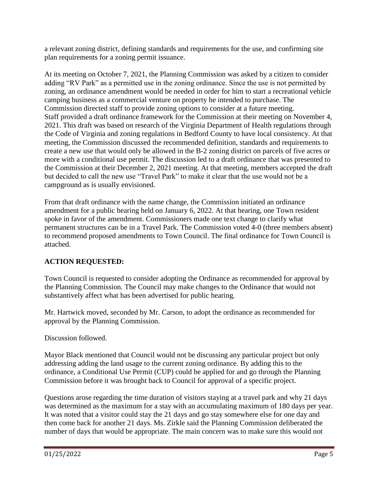a relevant zoning district, defining standards and requirements for the use, and confirming site plan requirements for a zoning permit issuance.

At its meeting on October 7, 2021, the Planning Commission was asked by a citizen to consider adding "RV Park" as a permitted use in the zoning ordinance. Since the use is not permitted by zoning, an ordinance amendment would be needed in order for him to start a recreational vehicle camping business as a commercial venture on property he intended to purchase. The Commission directed staff to provide zoning options to consider at a future meeting. Staff provided a draft ordinance framework for the Commission at their meeting on November 4, 2021. This draft was based on research of the Virginia Department of Health regulations through the Code of Virginia and zoning regulations in Bedford County to have local consistency. At that meeting, the Commission discussed the recommended definition, standards and requirements to create a new use that would only be allowed in the B-2 zoning district on parcels of five acres or more with a conditional use permit. The discussion led to a draft ordinance that was presented to the Commission at their December 2, 2021 meeting. At that meeting, members accepted the draft but decided to call the new use "Travel Park" to make it clear that the use would not be a campground as is usually envisioned.

From that draft ordinance with the name change, the Commission initiated an ordinance amendment for a public hearing held on January 6, 2022. At that hearing, one Town resident spoke in favor of the amendment. Commissioners made one text change to clarify what permanent structures can be in a Travel Park. The Commission voted 4-0 (three members absent) to recommend proposed amendments to Town Council. The final ordinance for Town Council is attached.

# **ACTION REQUESTED:**

Town Council is requested to consider adopting the Ordinance as recommended for approval by the Planning Commission. The Council may make changes to the Ordinance that would not substantively affect what has been advertised for public hearing.

Mr. Hartwick moved, seconded by Mr. Carson, to adopt the ordinance as recommended for approval by the Planning Commission.

# Discussion followed.

Mayor Black mentioned that Council would not be discussing any particular project but only addressing adding the land usage to the current zoning ordinance. By adding this to the ordinance, a Conditional Use Permit (CUP) could be applied for and go through the Planning Commission before it was brought back to Council for approval of a specific project.

Questions arose regarding the time duration of visitors staying at a travel park and why 21 days was determined as the maximum for a stay with an accumulating maximum of 180 days per year. It was noted that a visitor could stay the 21 days and go stay somewhere else for one day and then come back for another 21 days. Ms. Zirkle said the Planning Commission deliberated the number of days that would be appropriate. The main concern was to make sure this would not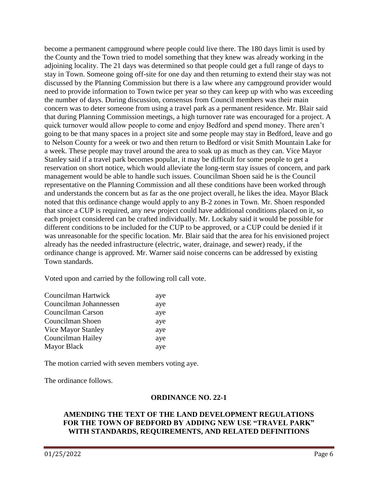become a permanent campground where people could live there. The 180 days limit is used by the County and the Town tried to model something that they knew was already working in the adjoining locality. The 21 days was determined so that people could get a full range of days to stay in Town. Someone going off-site for one day and then returning to extend their stay was not discussed by the Planning Commission but there is a law where any campground provider would need to provide information to Town twice per year so they can keep up with who was exceeding the number of days. During discussion, consensus from Council members was their main concern was to deter someone from using a travel park as a permanent residence. Mr. Blair said that during Planning Commission meetings, a high turnover rate was encouraged for a project. A quick turnover would allow people to come and enjoy Bedford and spend money. There aren't going to be that many spaces in a project site and some people may stay in Bedford, leave and go to Nelson County for a week or two and then return to Bedford or visit Smith Mountain Lake for a week. These people may travel around the area to soak up as much as they can. Vice Mayor Stanley said if a travel park becomes popular, it may be difficult for some people to get a reservation on short notice, which would alleviate the long-term stay issues of concern, and park management would be able to handle such issues. Councilman Shoen said he is the Council representative on the Planning Commission and all these conditions have been worked through and understands the concern but as far as the one project overall, he likes the idea. Mayor Black noted that this ordinance change would apply to any B-2 zones in Town. Mr. Shoen responded that since a CUP is required, any new project could have additional conditions placed on it, so each project considered can be crafted individually. Mr. Lockaby said it would be possible for different conditions to be included for the CUP to be approved, or a CUP could be denied if it was unreasonable for the specific location. Mr. Blair said that the area for his envisioned project already has the needed infrastructure (electric, water, drainage, and sewer) ready, if the ordinance change is approved. Mr. Warner said noise concerns can be addressed by existing Town standards.

Voted upon and carried by the following roll call vote.

| Councilman Hartwick       | aye |
|---------------------------|-----|
| Councilman Johannessen    | aye |
| Councilman Carson         | aye |
| Councilman Shoen          | aye |
| <b>Vice Mayor Stanley</b> | aye |
| Councilman Hailey         | aye |
| Mayor Black               | aye |

The motion carried with seven members voting aye.

The ordinance follows.

### **ORDINANCE NO. 22-1**

### **AMENDING THE TEXT OF THE LAND DEVELOPMENT REGULATIONS FOR THE TOWN OF BEDFORD BY ADDING NEW USE "TRAVEL PARK" WITH STANDARDS, REQUIREMENTS, AND RELATED DEFINITIONS**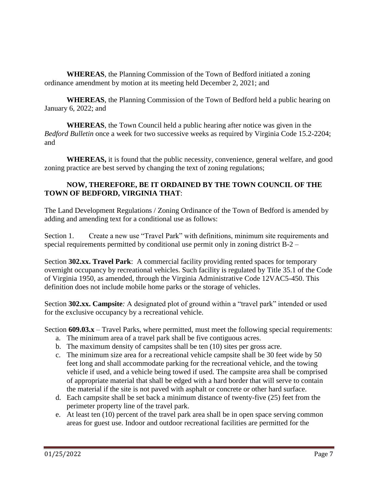**WHEREAS**, the Planning Commission of the Town of Bedford initiated a zoning ordinance amendment by motion at its meeting held December 2, 2021; and

**WHEREAS**, the Planning Commission of the Town of Bedford held a public hearing on January 6, 2022; and

**WHEREAS**, the Town Council held a public hearing after notice was given in the *Bedford Bulletin* once a week for two successive weeks as required by Virginia Code 15.2-2204; and

**WHEREAS,** it is found that the public necessity, convenience, general welfare, and good zoning practice are best served by changing the text of zoning regulations;

## **NOW, THEREFORE, BE IT ORDAINED BY THE TOWN COUNCIL OF THE TOWN OF BEDFORD, VIRGINIA THAT**:

The Land Development Regulations / Zoning Ordinance of the Town of Bedford is amended by adding and amending text for a conditional use as follows:

Section 1. Create a new use "Travel Park" with definitions, minimum site requirements and special requirements permitted by conditional use permit only in zoning district  $B-2$  –

Section **302.xx. Travel Park**: A commercial facility providing rented spaces for temporary overnight occupancy by recreational vehicles. Such facility is regulated by Title 35.1 of the Code of Virginia 1950, as amended, through the Virginia Administrative Code 12VAC5-450. This definition does not include mobile home parks or the storage of vehicles.

Section **302.xx. Campsite***:* A designated plot of ground within a "travel park" intended or used for the exclusive occupancy by a recreational vehicle.

Section **609.03.x** – Travel Parks, where permitted, must meet the following special requirements:

- a. The minimum area of a travel park shall be five contiguous acres.
- b. The maximum density of campsites shall be ten (10) sites per gross acre.
- c. The minimum size area for a recreational vehicle campsite shall be 30 feet wide by 50 feet long and shall accommodate parking for the recreational vehicle, and the towing vehicle if used, and a vehicle being towed if used. The campsite area shall be comprised of appropriate material that shall be edged with a hard border that will serve to contain the material if the site is not paved with asphalt or concrete or other hard surface.
- d. Each campsite shall be set back a minimum distance of twenty-five (25) feet from the perimeter property line of the travel park.
- e. At least ten (10) percent of the travel park area shall be in open space serving common areas for guest use. Indoor and outdoor recreational facilities are permitted for the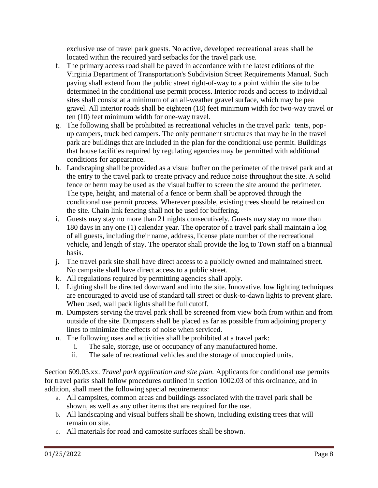exclusive use of travel park guests. No active, developed recreational areas shall be located within the required yard setbacks for the travel park use.

- f. The primary access road shall be paved in accordance with the latest editions of the Virginia Department of Transportation's Subdivision Street Requirements Manual. Such paving shall extend from the public street right-of-way to a point within the site to be determined in the conditional use permit process. Interior roads and access to individual sites shall consist at a minimum of an all-weather gravel surface, which may be pea gravel. All interior roads shall be eighteen (18) feet minimum width for two-way travel or ten (10) feet minimum width for one-way travel.
- g. The following shall be prohibited as recreational vehicles in the travel park: tents, popup campers, truck bed campers. The only permanent structures that may be in the travel park are buildings that are included in the plan for the conditional use permit. Buildings that house facilities required by regulating agencies may be permitted with additional conditions for appearance.
- h. Landscaping shall be provided as a visual buffer on the perimeter of the travel park and at the entry to the travel park to create privacy and reduce noise throughout the site. A solid fence or berm may be used as the visual buffer to screen the site around the perimeter. The type, height, and material of a fence or berm shall be approved through the conditional use permit process. Wherever possible, existing trees should be retained on the site. Chain link fencing shall not be used for buffering.
- i. Guests may stay no more than 21 nights consecutively. Guests may stay no more than 180 days in any one (1) calendar year. The operator of a travel park shall maintain a log of all guests, including their name, address, license plate number of the recreational vehicle, and length of stay. The operator shall provide the log to Town staff on a biannual basis.
- j. The travel park site shall have direct access to a publicly owned and maintained street. No campsite shall have direct access to a public street.
- k. All regulations required by permitting agencies shall apply.
- l. Lighting shall be directed downward and into the site. Innovative, low lighting techniques are encouraged to avoid use of standard tall street or dusk-to-dawn lights to prevent glare. When used, wall pack lights shall be full cutoff.
- m. Dumpsters serving the travel park shall be screened from view both from within and from outside of the site. Dumpsters shall be placed as far as possible from adjoining property lines to minimize the effects of noise when serviced.
- n. The following uses and activities shall be prohibited at a travel park:
	- i. The sale, storage, use or occupancy of any manufactured home.
	- ii. The sale of recreational vehicles and the storage of unoccupied units.

Section 609.03.xx. *Travel park application and site plan.* Applicants for conditional use permits for travel parks shall follow procedures outlined in section 1002.03 of this ordinance, and in addition, shall meet the following special requirements:

- a. All campsites, common areas and buildings associated with the travel park shall be shown, as well as any other items that are required for the use.
- b. All landscaping and visual buffers shall be shown, including existing trees that will remain on site.
- c. All materials for road and campsite surfaces shall be shown.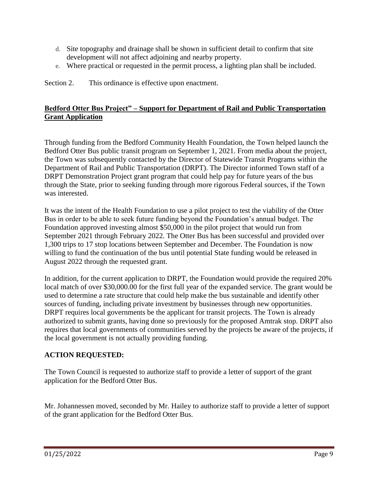- d. Site topography and drainage shall be shown in sufficient detail to confirm that site development will not affect adjoining and nearby property.
- e. Where practical or requested in the permit process, a lighting plan shall be included.

Section 2. This ordinance is effective upon enactment.

# **Bedford Otter Bus Project" – Support for Department of Rail and Public Transportation Grant Application**

Through funding from the Bedford Community Health Foundation, the Town helped launch the Bedford Otter Bus public transit program on September 1, 2021. From media about the project, the Town was subsequently contacted by the Director of Statewide Transit Programs within the Department of Rail and Public Transportation (DRPT). The Director informed Town staff of a DRPT Demonstration Project grant program that could help pay for future years of the bus through the State, prior to seeking funding through more rigorous Federal sources, if the Town was interested.

It was the intent of the Health Foundation to use a pilot project to test the viability of the Otter Bus in order to be able to seek future funding beyond the Foundation's annual budget. The Foundation approved investing almost \$50,000 in the pilot project that would run from September 2021 through February 2022. The Otter Bus has been successful and provided over 1,300 trips to 17 stop locations between September and December. The Foundation is now willing to fund the continuation of the bus until potential State funding would be released in August 2022 through the requested grant.

In addition, for the current application to DRPT, the Foundation would provide the required 20% local match of over \$30,000.00 for the first full year of the expanded service. The grant would be used to determine a rate structure that could help make the bus sustainable and identify other sources of funding, including private investment by businesses through new opportunities. DRPT requires local governments be the applicant for transit projects. The Town is already authorized to submit grants, having done so previously for the proposed Amtrak stop. DRPT also requires that local governments of communities served by the projects be aware of the projects, if the local government is not actually providing funding.

# **ACTION REQUESTED:**

The Town Council is requested to authorize staff to provide a letter of support of the grant application for the Bedford Otter Bus.

Mr. Johannessen moved, seconded by Mr. Hailey to authorize staff to provide a letter of support of the grant application for the Bedford Otter Bus.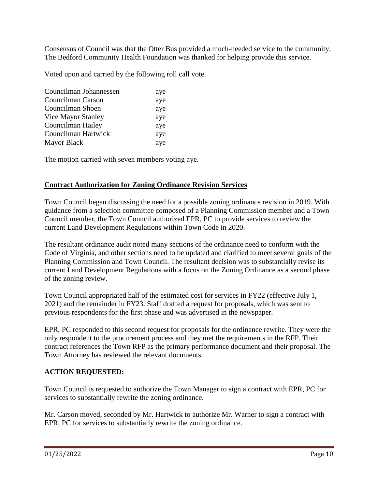Consensus of Council was that the Otter Bus provided a much-needed service to the community. The Bedford Community Health Foundation was thanked for helping provide this service.

Voted upon and carried by the following roll call vote.

| Councilman Johannessen | aye |
|------------------------|-----|
| Councilman Carson      | aye |
| Councilman Shoen       | aye |
| Vice Mayor Stanley     | aye |
| Councilman Hailey      | aye |
| Councilman Hartwick    | aye |
| <b>Mayor Black</b>     | aye |

The motion carried with seven members voting aye.

### **Contract Authorization for Zoning Ordinance Revision Services**

Town Council began discussing the need for a possible zoning ordinance revision in 2019. With guidance from a selection committee composed of a Planning Commission member and a Town Council member, the Town Council authorized EPR, PC to provide services to review the current Land Development Regulations within Town Code in 2020.

The resultant ordinance audit noted many sections of the ordinance need to conform with the Code of Virginia, and other sections need to be updated and clarified to meet several goals of the Planning Commission and Town Council. The resultant decision was to substantially revise its current Land Development Regulations with a focus on the Zoning Ordinance as a second phase of the zoning review.

Town Council appropriated half of the estimated cost for services in FY22 (effective July 1, 2021) and the remainder in FY23. Staff drafted a request for proposals, which was sent to previous respondents for the first phase and was advertised in the newspaper.

EPR, PC responded to this second request for proposals for the ordinance rewrite. They were the only respondent to the procurement process and they met the requirements in the RFP. Their contract references the Town RFP as the primary performance document and their proposal. The Town Attorney has reviewed the relevant documents.

### **ACTION REQUESTED:**

Town Council is requested to authorize the Town Manager to sign a contract with EPR, PC for services to substantially rewrite the zoning ordinance.

Mr. Carson moved, seconded by Mr. Hartwick to authorize Mr. Warner to sign a contract with EPR, PC for services to substantially rewrite the zoning ordinance.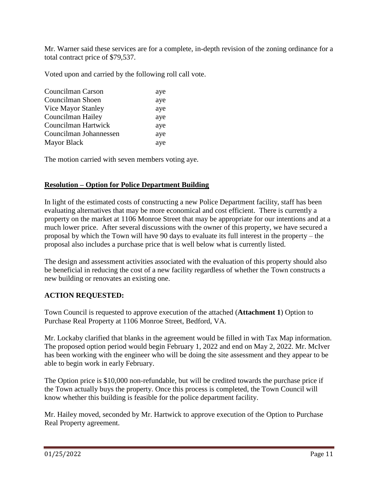Mr. Warner said these services are for a complete, in-depth revision of the zoning ordinance for a total contract price of \$79,537.

Voted upon and carried by the following roll call vote.

| Councilman Carson      | aye |
|------------------------|-----|
| Councilman Shoen       | aye |
| Vice Mayor Stanley     | aye |
| Councilman Hailey      | aye |
| Councilman Hartwick    | aye |
| Councilman Johannessen | aye |
| <b>Mayor Black</b>     | aye |

The motion carried with seven members voting aye.

## **Resolution – Option for Police Department Building**

In light of the estimated costs of constructing a new Police Department facility, staff has been evaluating alternatives that may be more economical and cost efficient. There is currently a property on the market at 1106 Monroe Street that may be appropriate for our intentions and at a much lower price. After several discussions with the owner of this property, we have secured a proposal by which the Town will have 90 days to evaluate its full interest in the property – the proposal also includes a purchase price that is well below what is currently listed.

The design and assessment activities associated with the evaluation of this property should also be beneficial in reducing the cost of a new facility regardless of whether the Town constructs a new building or renovates an existing one.

### **ACTION REQUESTED:**

Town Council is requested to approve execution of the attached (**Attachment 1**) Option to Purchase Real Property at 1106 Monroe Street, Bedford, VA.

Mr. Lockaby clarified that blanks in the agreement would be filled in with Tax Map information. The proposed option period would begin February 1, 2022 and end on May 2, 2022. Mr. McIver has been working with the engineer who will be doing the site assessment and they appear to be able to begin work in early February.

The Option price is \$10,000 non-refundable, but will be credited towards the purchase price if the Town actually buys the property. Once this process is completed, the Town Council will know whether this building is feasible for the police department facility.

Mr. Hailey moved, seconded by Mr. Hartwick to approve execution of the Option to Purchase Real Property agreement.